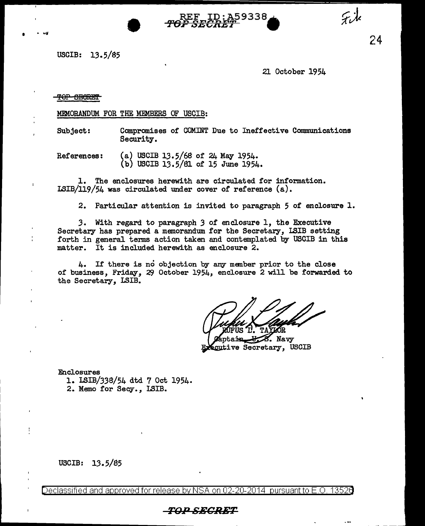

USCIB: 13.5/85

21 October 1954

### TOP SECRET

MEMORANDUM FOR THE MEMBERS OF USCIB:

Subject: Compromises of COMINT Due to Ineffective Communications Security.

References: (a) USCIB 13.5/68 of 24 May 1954. (b) USCIB 13.5/Sl of 15 June 1954.

1. The enclosures herewith are circulated for information. LSIB/119/54 was circulated under cover of reference (a).

2. Particular attention is invited to paragraph 5 of enclosure 1.

*3.* With regard to paragraph *3* of enclosure 1, the Executive Secretary has prepared a memorandum for the Secretary, LSIB setting forth in general tenns action taken and contemplated by USCIB in this matter. It is included herewith as enclosure 2.

4. If there is no objection by any member prior to the close of business, Friday, *29* October 1954, enclosure 2 will be forwarded to the Secretary, LSIB.

8. Navy **Scutive Secretary, USCIB** 

Enclosures

1. LSIB/338/54 dtd 7 Oct 1954. 2. Memo for Secy., LSIB.

USCIB: 13.5/85

Declassified and approved for release by NSA on 02-20-2014 pursuant to E.O. 13526

# *TOP SECRET*

24

Fik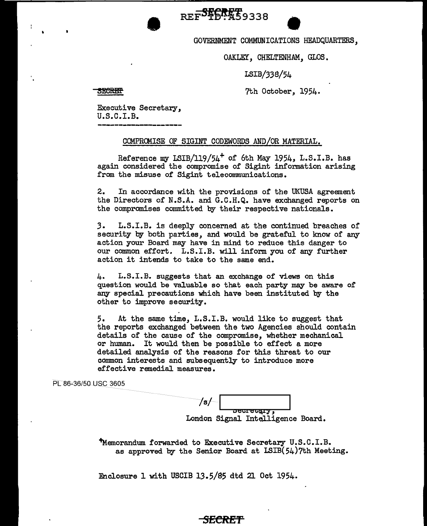REF<sup>ST</sup>ERT 9338<br>GOVERNMENT COMMUNICATIONS HEADQUARTERS,

OAKLEY, CHELTENHAM, GLOS.

LSIB/338/54

**SECRET** 

7th October, 1954.

Executive Secretary,<br>U.S.C.I.B.

**•** 

### COMPROMISE OF SIGINT CODEWORDS AND/OR MATERIAL.

Reference my LSIB/119/54<sup>+</sup> of 6th May 1954, L.S.I.B. has again considered the compromise of Sigint information arising from the misuse of Sigint telecommunications.

2. In accordance with the provisions of the UKUSA agreement the Directors of N.S.A. and G.C.H.Q. have exchanged reports on the compromises committed by their respective nationals.

3. L.S.I.B. is deeply concerned at the continued breaches of security by both parties, and would be grateful to know of any action your Board may have in mind to reduce this danger to our common effort. L.S.I.B. will inform you of any further action it intends to take to the same end.

4. L.S.I.B. suggests that an exchange of views on this question would be valuable so that each party may be aware of any special precautions which have been instituted by the other to improve security.

5. At the same time, L.S.I.B. would like to suggest that the reports exchanged between the two Agencies should contain details of the cause of the compromise, whether mechanical or human. It would then be possible to effect a more detailed analysis of' the reasons for this threat to our common interests and subsequently to introduce more effective remedial measures.

PL 86-36/50 USC 3605

/s/ oecretary. London Signal Intelligence Board.

"Memorandum forwarded to Executive Secretary U.S.C.I.B. as approved by the Senior Board at LSIB(54)7th Meeting.

Enclosure 1 with USCIB 13.5/S5 dtd 21 Oct 1954.

# *SECRET*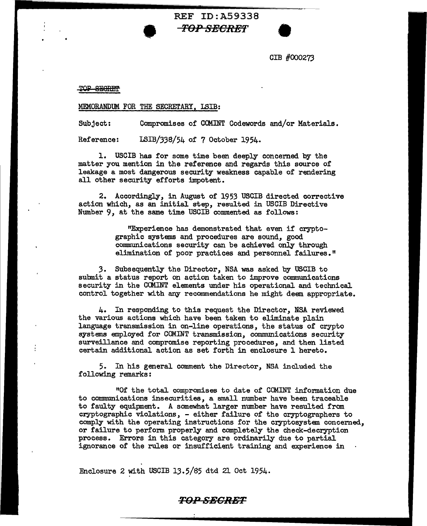**EF ID:A59338<br>TOP SECRET**<br>CIB #0003 GIB #000273

TOP SECRET

#### MEMORANDUM FOR THE SECRETARY, LSIB:

•

Subject: Compromises of COMINT Codewords and/or Materials.

REF ID:A59338

Reference: LSIB/338/54 of 7 October 1954.

1. USCIB has for some time been deeply concemed by the matter you mention in the reference and regards this source of leakage a most dangerous security weakness capable of rendering all other security efforts impotent.

2. Accordingly, in August of 1953 USCIB directed corrective action which, as an initial step, resulted in USCIB Directive Number 9, at the same time USCIB commented as follows:

> "Experience has demonstrated that even if cryptographic systems and procedures are sound, good communications security can be achieved only through elimination of poor practices and personnel failures."

3. Subsequently the Director, NSA was asked by USCIB to submit a status report on action taken to improve communications security in the COMINT elements under his operational and technical control together with any recommendations he might deem appropriate.

4. In responding to this request the Director, NSA reviewed the various actions which have been taken to eliminate plain language transmission in on-line operations, the status of crypto systems employed for COMINT transmission, communications security surveillance and compromise reporting procedures, and then listed certain additional action as set forth in enclosure 1 hereto.

5. In his general comment the Director, NSA included the following remarks:

"Of the total compromises to date of COMINT information due to communications insecurities, a small number have been traceable to faulty equipment. A somewhat larger number have resulted from cryptographic violations, - either failure of the cryptographers to comply with the operating instructions for the cryptosystem concerned, or failure to perform properly and completely the check-decryption process. Errors in this category are ordinarily due to partial ignorance of the rules or insufficient training and experience in

Enclosure 2 with USCIB 13.5/85 dtd 21 Oct 1954.

## *TOPSBCRBT*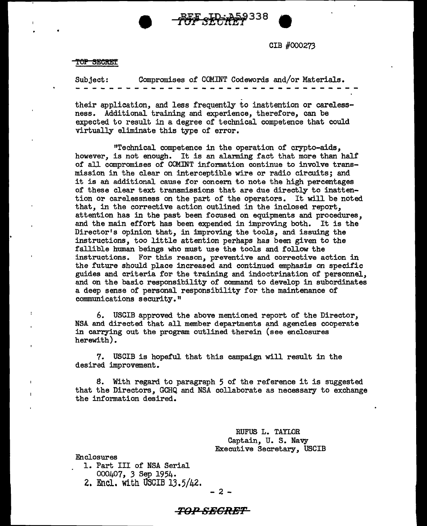

TOP SECRET

Subject: Compromises of COMINT Codewords and/or Materials.

• MFs~Tetfif <sup>338</sup>**9** 

their application, and less frequently to inattention or careless-<br>ness. Additional training and experience, therefore, can be Additional training and experience, therefore, can be expected to result in a degree of technical competence that could virtually eliminate this type of error.

"Technical competence in the operation of crypto-aids, however, is not enough. It is an alarming fact that more than half of all compromises of COMINT information continue to involve transmission in the clear on interceptible wire or radio circuits; and it is an additional cause for concern to note the high percentages of these clear text transmissions that are due directly to inattention or carelessness on the part of the operators. It will be noted that, in the corrective action outlined in the inclosed report, attention has in the past been focused on equipments and procedures, and the main effort has been expended in improving both. It is the Director's opinion that, in improving the tools, and issuing the instructions, too little attention perhaps has been given to the fallible human beings who must use the tools and follow the instructions. For this reason, preventive and corrective action in the future should place increased and continued emphasis on specific guides and criteria for the training and indoctrination or personnel, and on the basic responsibility of command to develop in subordinates a deep sense of personal responsibility for the maintenance of communications security."

6. USCIB approved the above mentioned report of the Director, NSA and directed that all member departments and agencies cooperate in carrying out the program outlined therein (see enclosures herewith).

7. USCIB is hopeful that this campaign will result in the desired improvement.

8. With regard to paragraph 5 of the reference it is suggested that the Directors, GCHQ and NSA collaborate as necessary to exchange the information desired.

> RUFUS L. TAYLOR Captain, U. S. Navy Executive Secretary, USCIB

Enclosures

 $\overline{1}$ 

- 1. Part III of NSA Serial
	- 000407, 3 Sep 1954.
- 2. Encl. with USCIB 13.5/42.

- 2 -

## **T0 ...** *0* **SECRET**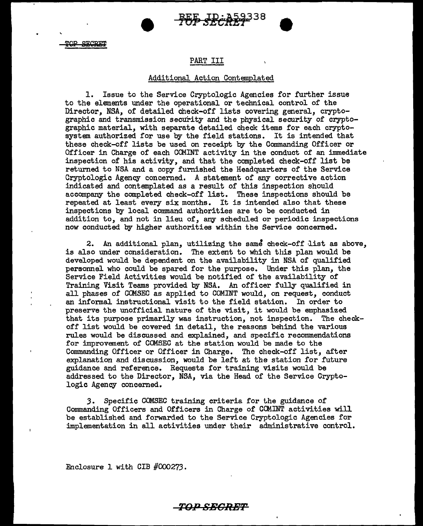• •

**TOP SECRET** 

## PART III

### Additional Action Contemplated

1. Issue to the Service Cryptologic Agencies for further issue to the elements under the operational or technical control of the Director, NSA, of detailed check-off lists covering general, cryptographic and transmission security and the physical security of cryptographic material, with separate detailed check items for each cryptosystem authorized for use by the field stations. It is intended that these check-off lists be used on receipt by the Commanding Officer or Officer in Charge of each COMINT activity in the conduct of an immediate inspection of his activity, and that the completed check-off list be returned to NSA and a copy furnished the Headquarters of the Service Cryptologic Agency concerned. A statement of any corrective action indicated and contemplated as a result of this inspection should accompany the completed check-off list. These inspections should be repeated at least every six months. It is intended also that these inspections by local command authorities are to be conducted in addition to, and not in lieu of, any scheduled or periodic inspections now conducted by higher authorities within the Service concerned.

2. An additional plan, utilizing the same check-off list as above, is also under consideration. The extent to which this plan would be developed would be dependent on the availability in NSA of qualified personnel who could be spared for the purpose. Under this plan, the Service Field Activities would be notified of the availability of Training Visit Teams provided by NSA. An officer fully qualified in all phases of COMSEC as applied to COMINT would, on request, conduct an informal instructional visit to the field station. In order to preserve the unofficial nature of the visit, it would be emphasized that its purpose primarily was instruction, not inspection. The checkoff list would be covered in detail, the reasons behind the various rules would be discussed and explained, and specific recommendations for improvement of COMSEC at the station would be made to the Commanding Officer or Officer in Charge. The check-off list, after explanation and discussion, would be left at the station for future guidance and reference. Requests for training visits would be addressed to the Director, NSA, via the Head of the Service Cryptologic Agency concerned.

*3.* Specific COMSEC training criteria for the guidance of Commanding Officers and Officers in Charge of COM.INT activities will be established and forwarded to the Service Cryptologic Agencies for implementation in all activities under their administrative control.

**TOPSECRHT** 

Enclosure 1 with CIB #000273.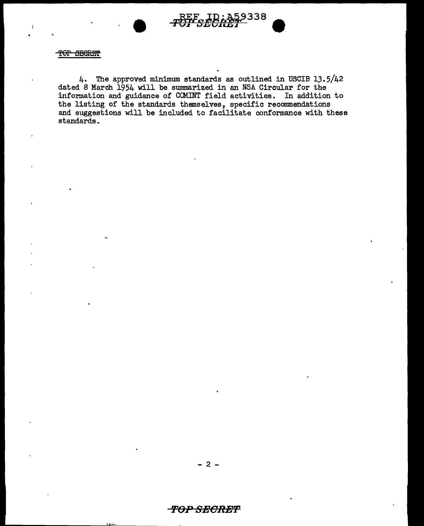

### TOP SEGRET

4. The approved minimwn standards as outlined in USCIB 13.5/42 dated 8 March 1954 will be summarized in an NSA Circular for the information and guidance of COMINT field activities. In addition to the listing of the standards themselves, specific recommendations and suggestions will be included to facilitate conformance with these standards.

## **'/'OP SEORET**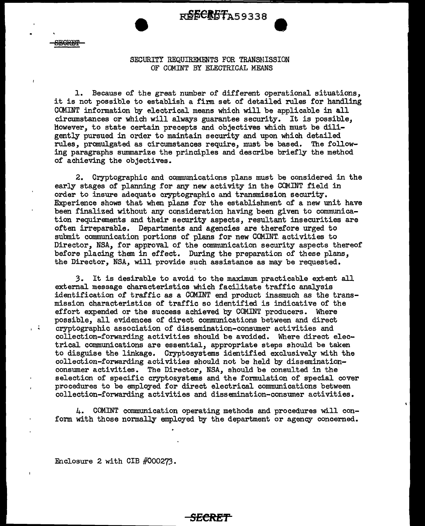R**ECRET**A59338

ليتنبهمه

 $\mathbf{r}$ 

## SECURITY REQUIREMENTS FOR TRANSMISSION OF COMINT BY ELECTRICAL MEANS

l. Because of the great number of different operational situations, it is not possible to establish a firm set of detailed rules for handling CCMINT information by electrical means which will be applicable in all circumstances or which will always guarantee security. It is possible, However, to state certain precepts and objectives which must be diligently pursued in order to maintain security and upon which detailed rules, promulgated as circumstances require, must be based. The following paragraphs summarize the principles and describe briefly the method of achieving the objectives.

2. Cryptographic and communications plans must be considered in the early stages of' planning for any new activity in the COMINT field in order to insure adequate cryptographic and transmission security. Experience shows that when plans for the establishment of a new unit have been finalized without any consideration having been given to communication requirements and their security aspects, resultant insecurities are often irreparable. Departments and agencies are therefore urged to submit communication portions of plans for new COMINT activities to Director, NSA, for approval of the communication security aspects thereof before placing them in effect. During the preparation of these plans, the Director, NSA, will provide such assistance as may be requested.

3. It is desirable to avoid to the maximum practicable extent all external message characteristics which facilitate traffic analysis identification of traffic as a CCMINT end product inasmuch as the transmission characteristics of traffic so identified is indicative of the effort expended or the success achieved by COM.INT producers. Where possible, all evidences of direct communications between and direct cryptographic association of dissemination-consumer activities and collection-forwarding activities should be avoided. Where direct electrical communications are essential, appropriate steps should be taken to disguise the linkage. Cryptosystems identified exclusively with the collection-forwarding activities should not be held by disseminationconsumer activities. The Director, NSA, should be consulted in the selection of specific cryptosystems and the formulation of special cover procedures to be employed for direct electrical communications between collection-forwarding activities and dissemination-consumer activities.

4. COMINT communication operating methods and procedures will conform with those normally employed by the department or agency concerned.

**SECRET'** 

Enclosure 2 with CIB #000273.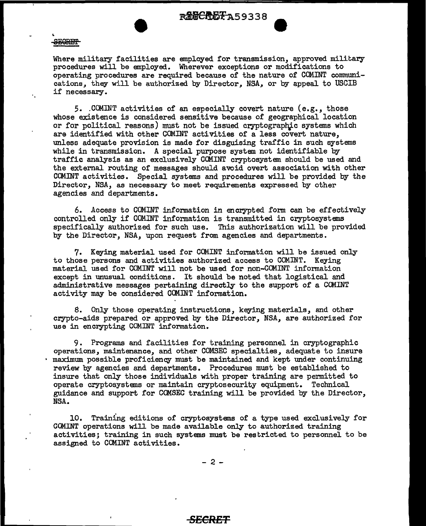*<u>ROGCADFA59338</u>* 

#### **SEGRET**

 $\mathbf{r}$ 

Where military facilities are employed for transmission, approved military procedures will be employed. Wherever exceptions or modifications to operating procedures are required because of the nature of COMINT connnunications, they will be authorized by Director, NSA, or by appeal to USCIB if necessary.

*5 •* . CCMINT activities of an especially covert nature (e.g., those whose existence is considered sensitive because of geographical location or for political reasons) must not be issued cryptographic systems which are identified with other COMINT activities of a less covert nature, unless adequate provision is made for disguising traffic in such systems while in transmission. A special purpose system not identifiable by traffic analysis as an exclusively COM.INT cryptosystem should be used and the external routing of messages should avoid overt association with other COMINT activities. Special systems and procedures will be provided by the Director, NSA, as necessary to meet requirements expressed by other agencies and departments.

6. Access to COMINT information in encrypted form can be effectively controlled only if COMINT information is transmitted in cryptosystems specifically authorized for such use. This authorization will be provided by the Director, NSA, upon request from agencies and departments.

7. Keying material used for COMINT information will be issued only to those persons and activities authorized access to COMINT. Keying material used for COMINT will not be used for non-COMINT information except in unusual conditions. It should be noted that logistical and administrative messages pertaining directly to the support of a COMINT activity may be considered CCMINT information.

8. Only those operating instructions, keying materials, and other crypto-aids prepared or approved by the Director, NSA, are authorized for use in encrypting COMINT information.

9. Programs and facilities for training personnel in cryptographic operations, maintenance, and other COMSEC specialties, adequate to insure maximum possible proficiency must be maintained and kept under continuing review by agencies and departments. Procedures must be established to insure that only those individuals with proper training are permitted to operate cryptosystems or maintain cryptosecurity equipment. Technical guidance and support for COMSEC training will be provided by the Director, NSA.

10. Training editions of cryptosystems of a type used exclusively for COMINT operations will be made available only to authorized training activities; training in such systems must be restricted to personnel to be assigned to COMINT activities.

 $- 2 -$ 

## *SECRET*